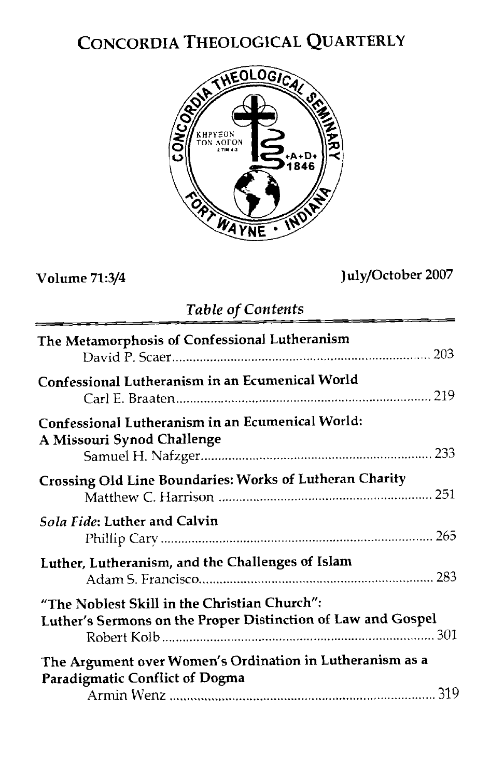# CONCORDIA THEOLOGICAL QUARTERLY



**Contract Contract** 

## Volume **71:3/4**

## July/October 2007

| Lable of Contents                                                                                            |
|--------------------------------------------------------------------------------------------------------------|
| The Metamorphosis of Confessional Lutheranism                                                                |
| Confessional Lutheranism in an Ecumenical World                                                              |
| Confessional Lutheranism in an Ecumenical World:<br>A Missouri Synod Challenge                               |
| Crossing Old Line Boundaries: Works of Lutheran Charity                                                      |
| Sola Fide: Luther and Calvin                                                                                 |
| Luther, Lutheranism, and the Challenges of Islam                                                             |
| "The Noblest Skill in the Christian Church":<br>Luther's Sermons on the Proper Distinction of Law and Gospel |
| The Argument over Women's Ordination in Lutheranism as a<br><b>Paradigmatic Conflict of Dogma</b>            |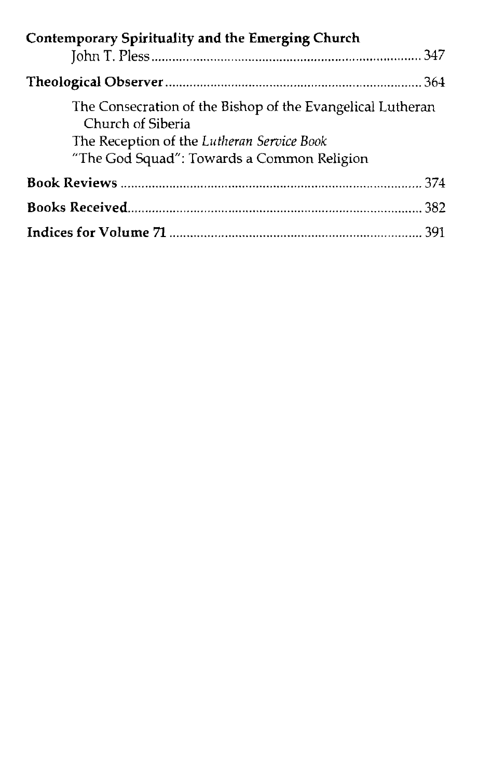| Contemporary Spirituality and the Emerging Church                                                                                                                           |  |
|-----------------------------------------------------------------------------------------------------------------------------------------------------------------------------|--|
|                                                                                                                                                                             |  |
|                                                                                                                                                                             |  |
| The Consecration of the Bishop of the Evangelical Lutheran<br>Church of Siberia<br>The Reception of the Lutheran Service Book<br>"The God Squad": Towards a Common Religion |  |
|                                                                                                                                                                             |  |
|                                                                                                                                                                             |  |
|                                                                                                                                                                             |  |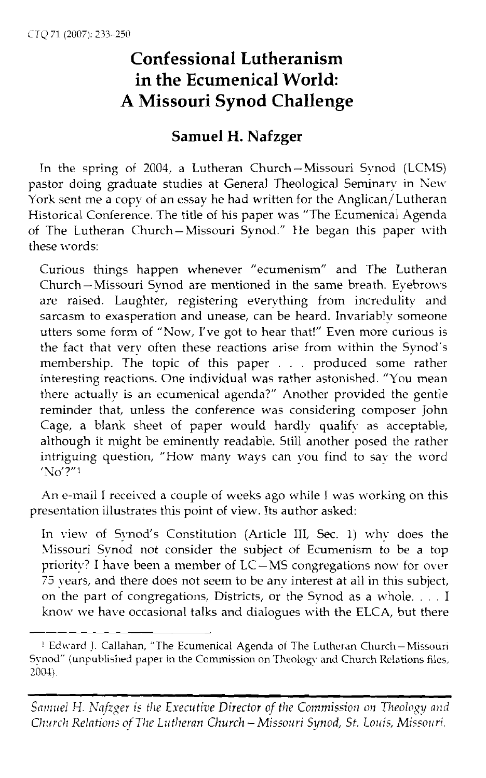## **Confessional Lutheranism in the Ecumenical World: A Missouri Synod Challenge**

### **Samuel H. Nafzger**

In the spring of 2004, a Lutheran Church-Missouri Synod (LCXIS) pastor doing graduate studies at General Theological Seminary in New York sent me a copy of an essay he had written for the Anglican/Lutheran Historical Conference. The title of his paper was "The Ecumenical Agenda of The Lutheran Church-Missouri Synod." He began this paper with these words:

Curious things happen whenever "ecumenism" and The Lutheran Church-Missouri Synod are mentioned in the same breath. Eyebrows are raised. Laughter, registering everything from incredulity and sarcasm to exasperation and unease, can be heard. Invariably someone utters some form of "NOW, I've got to hear that!" Even more curious is the fact that very often these reactions arise from within the Synod's membership. The topic of this paper . . . produced some rather interesting reactions. One individual was rather astonished. "You mean there actually is an ecumenical agenda?" Another provided the gentle reminder that, unless the conference was considering composer John Cage, a blank sheet of paper would hardly qualify as acceptable, although it might be eminently readable. Still another posed the rather intriguing question, "How many ways can vou find to say the word  $'No'?'''$ 

An e-mail I received a couple of weeks ago while I was working on this presentation illustrates this point of view. Its author asked:

In view of Synod's Constitution (Article III, Sec. 1) why does the Missouri Synod not consider the subject of Ecumenism to be a top priority? I have been a member of  $LC-MS$  congregations now for over 75 years, and there does not seem to be any interest at all in this subject, on the part of congregations, Districts, or the Synod as a whole. . . . I know we have occasional talks and dialogues with the ELCA, but there

<sup>&</sup>lt;sup>1</sup> Edward J. Callahan, "The Ecumenical Agenda of The Lutheran Church-Missouri Synod" (unpublished paper in the Commission on Theology and Church Relations files, 2004)

*Samuel H. Nafzger is the Executive Director of the Commission on Theology and Church Relations of The Lutheran Church - Missouri Synod, St. Louis, Missouri.*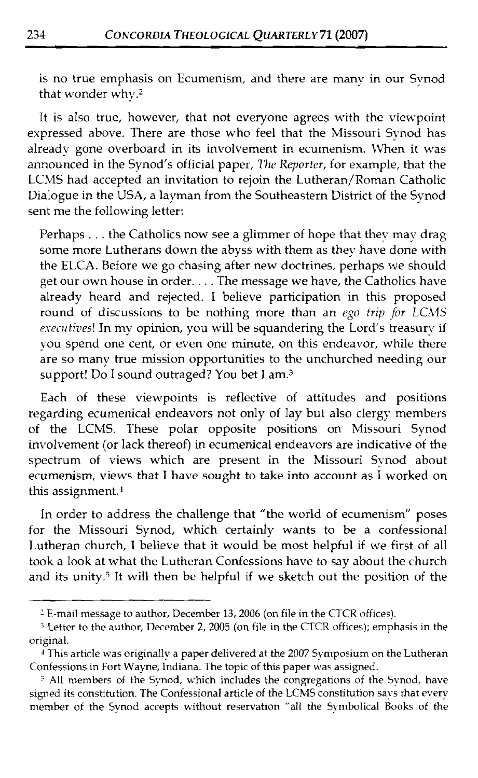is no true emphasis on Ecumenism, and there are many in our Synod that wonder whv.2

It is also true, however, that not everyone agrees with the viewpoint expressed above. There are those who feel that the Missouri Synod has already gone overboard in its involvement in ecumenism. When it was announced in the Synod's official paper, *The Reporter*, for example, that the LCMS had accepted an invitation to rejoin the Lutheran/Roman Catholic Dialogue in the USA, a layman from the Southeastern District of the Synod sent me the following letter:

Perhaps . . . the Catholics now see a glimmer of hope that they may drag some more Lutherans down the abyss with them as they have done with the ELCA. Before we go chasing after new doctrines, perhaps we should get our own house in order. . . . The message we have, the Catholics have already heard and rejected. I believe participation in this proposed round of discussions to be nothing more than an ego trip for LCMS *executives!* In my opinion, you will be squandering the Lord's treasury if you spend one cent, or even one minute, on this endeavor, while there are so many true mission opportunities to the unchurched needing our support! Do I sound outraged? You bet I am.3

Each of these viewpoints is reflective of attitudes and positions regarding ecumenical endeavors not only of lay but also clergy members of the LCMS. These polar opposite positions on Missouri Synod involvement (or lack thereof) in ecumenical endeavors are indicative of the spectrum of views which are present in the Missouri Synod about ecumenism, views that 1 have sought to take into account as I worked on this assignment.<sup>4</sup>

In order to address the challenge that "the world of ecumenism" poses for the Missouri Synod, which certainly wants to be a confessional Lutheran church, I believe that it would be most helpful if we first of all took a look at what the Lutheran Confessions have to say about the church and its unity.<sup>5</sup> It will then be helpful if we sketch out the position of the

*<sup>2</sup>*E-mail message to author, December 13,2006 (on file in the CTCR oftices).

<sup>3</sup>Letter to the author, December 2, 2005 (on file in the CTCR offices); emphasis in the original.

**<sup>4</sup>**This article was originally a paper delivered at the 2007 Symposium on the Lutheran Confessions in Fort Wayne, Indiana. The topic of this paper was assigned.

<sup>&</sup>lt;sup>5</sup> All members of the Synod, which includes the congregations of the Synod, have signed its constitution. The Confessional article of the LCMS constitution says that every member of the Synod accepts without reservation "all the Syntbolical Books of the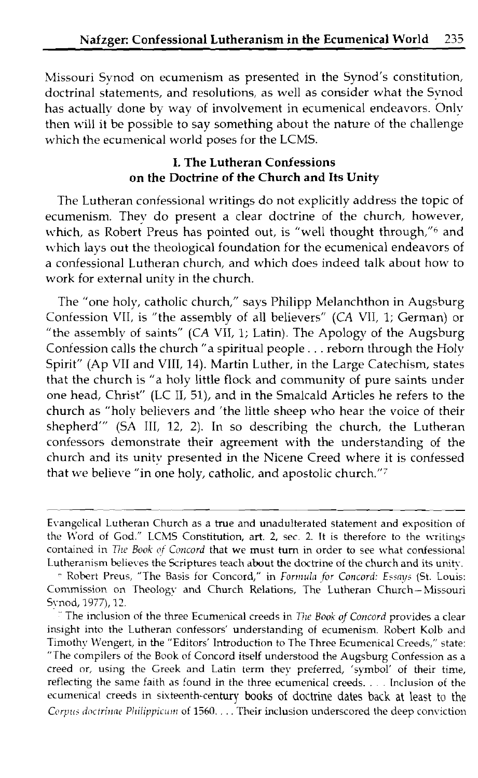Missouri Synod on ecumenism as presented in the Synod's constitution, doctrinal statements, and resolutions, as well as consider what the Synod has actually done by way of involvement in ecumenical endeavors. Only then will it be possible to say something about the nature of the challenge which the ecumenical world poses for the LCMS.

#### **I. The Lutheran Confessions on the Doctrine of the Church and Its Unity**

The Lutheran confessional writings do not explicitly address the topic of ecumenism. They do present a clear doctrine of the church, however, which, as Robert Preus has pointed out, is "well thought through,"<sup>6</sup> and which lays out the theological foundation for the ecumenical endeavors of a confessional Lutheran church, and which does indeed talk about how to work for external unity in the church.

The "one holy, catholic church," says Philipp Melanchthon in Augsburg Confession VII, is "the assembly of all believers" (CA VII, 1; German) or "the assembly of saints" (CA VII, 1; Latin). The Apology of the Augsburg Confession calls the church "a spiritual people. . . reborn through the Holy Spirit" (Ap VII and VIII, 14). Martin Luther, in the Large Catechism, states that the church is "a holy little flock and community of pure saints under one head, Christ" (LC 11, 5l), and in the Smalcald Articles he refers to the church as "holy believers and 'the little sheep who hear the voice of their shepherd"' (SA 111, 12, 2). In so describing the church, the Lutheran confessors demonstrate their agreement with the understanding of the church and its unity presented in the Nicene Creed where it is confessed that we believe "in one holy, catholic, and apostolic church."'

Evangelical Lutheran Church as a true and unadulterated statement and exposition of the Word of God." LCMS Constitution, art. 2, sec. 2. It is therefore to the writings contained in *The Book of Concord* that we must turn in order to see what confessional Lutheranism believes the Scriptures teach about the doctrine of the church and its unity.

<sup>-</sup> Robert Preus, "The Basis for Concord," in *Forrrluli~ .for Concord: Essnys* (St. Louis: Commission on Theology and Church Relations, The Lutheran Church-Missouri Synod, 1977), 17.

The inclusion of the three Ecumenical creeds in *The Book of Concord* provides a clear insight into the Lutheran confessors' understanding of ecumenism. Robert Kolb and Timothy U'engert, in the "Editors' Introduction to The Three Ecumcnical Creeds," state: "The compilers of the Book of Concord itself understood the Augsburg Confession as a creed or, using the Greek and Latin term they preferred, 'symbol' of their time, reflecting the same faith as found in the three ecumenical creeds. . . Inclusion of the ecumenical creeds in sixteenth-century books of doctrine dates back at least to the *Corpus doctringe Philippicum of 1560.* . . . Their inclusion underscored the deep conviction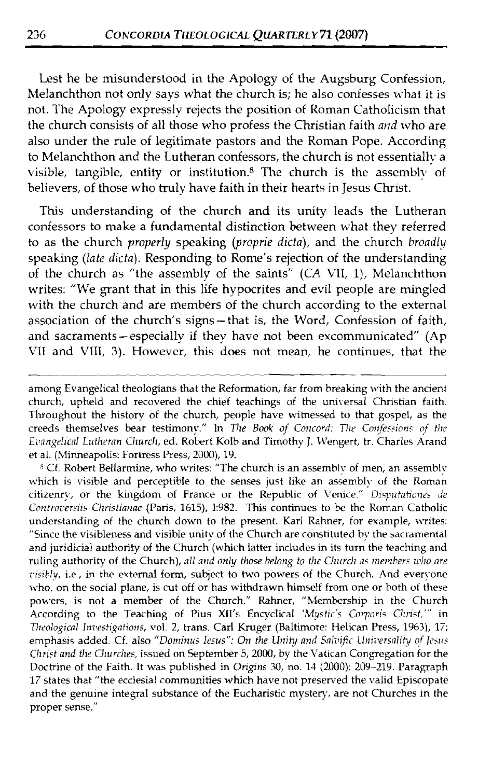Lest he be misunderstood in the Apology of the Augsburg Confession, Melanchthon not only says what the church is; he also confesses what it is not. The Apology expressly rejects the position of Roman Catholicism that the church consists of all those who profess the Christian faith *and* who are also under the rule of legitimate pastors and the Roman Pope. According to Melanchthon and the Lutheran confessors, the church is not essentially a visible, tangible, entity or institution.<sup>8</sup> The church is the assembly of believers, of those who truly have faith in their hearts in Jesus Christ.

This understanding of the church and its unity leads the Lutheran confessors to make a fundamental distinction between what they referred to as the church *properly* speaking *(proprie dicta),* and the church *broadly*  speaking *(late dicta).* Responding to Rome's rejection of the understanding of the church as "the assembly of the saints" (CA VII, I), Melanchthon writes: "We grant that in this life hypocrites and evil people are mingled with the church and are members of the church according to the external association of the church's signs-that is, the Word, Confession of faith, and sacraments-especially if they have not been excommunicated" **(Ap**  VII and VIII, *3).* However, this does not mean, he continues, that the

<sup>8</sup> Cf. Robert Bellarmine, who writes: "The church is an assembly of men, an assembly which is visible and perceptible to the senses just like an assembly of the Roman citizenry, or the kingdom of France or the Republic of Venice." *Disputationes de Controversiis Christianae* (Paris, 1615), I:982. This continues to be the Roman Catholic understanding of the church down to the present. Karl Rahner, for example, writes: "Since the visibleness and visible unity of the Church are constituted by the sacramental and juridicial authority of the Church (which latter includes in its turn the teaching and ruling authority of the Church), all and only those belong to the Church as members who are *risibly,* i.e., in the external form, subject to two powers of the Church. And everyone who, on the social plane, is cut off or has withdrawn himself from one or both of these powers, is not a member of the Church." Rahner, "Membership in the Church According to the Teaching of Pius **MI'S** Encyclical *'Mystic' Corpori Clli-ist,"'* in *nlt.ologicn1 Inzlestigntions,* vol. 2, trans. Carl Kruger (Baltimore: Helican Press, 1963), 17; emphasis added. Cf. also "Dominus Iesus": On the Unity and Salvific Universality of Jesus *Christ and the Churches, issued on September 5, 2000, by the Vatican Congregation for the* Doctrine of the Faith. It was published in *Origins* 30, no. 13 (2000): 209-219. Paragraph 17 states that "the ecclesial communities which have not preserved the valid Episcopate and the genuine integral substance of the Eucharistic mystery, are not Churches in the proper sense."

among Evangelical theologians that the Reformation, far from breaking with the ancient church, upheld and recovered the chief teachings of the universal Christian faith. Throughout the history of the church, people have witnessed to that gospel, as the creeds themselves bear testimony." In *The Book of Concord: The Confessions of the* Evangelical Lutheran Church, ed. Robert Kolb and Timothy J. Wengert, tr. Charles Arand et al. (Minneapolis: Fortress Press, 2000), 19.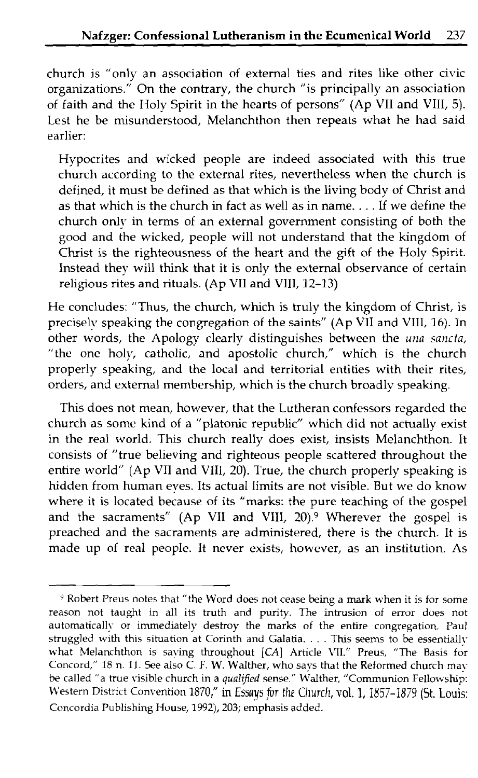church is "only an association of external ties and rites like other civic organizations." On the contrary, the church "is principally an association of faith and the Holy Spirit in the hearts of persons" (Ap VII and VIII, 5). Lest he be misunderstood, Melanchthon then repeats what he had said earlier:

Hypocrites and wicked people are indeed associated with this true church according to the external rites, nevertheless when the church is defined, it must be defined as that which is the living body of Christ and as that which is the church in fact as well as in name. . . . **Lf** we define the church only in terms of an external government consisting of both the good and the wicked, people will not understand that the kingdom of Christ is the righteousness of the heart and the gift of the Holy Spirit. Instead they will think that it is only the external observance of certain religious rites and rituals. (Ap VII and VIII, 12-13)

He concludes: "Thus, the church, which is truly the kingdom of Christ, is preciselv speaking the congregation of the saints" (Ap VII and VIII, 16). In other words, the Apology clearly distinguishes between the una sancta, "the one holy, catholic, and apostolic church," which is the church properly speaking, and the local and territorial entities with their rites, orders, and external membership, which is the church broadly speaking.

This does not mean, however, that the Lutheran confessors regarded the church as some kind of a "platonic republic" which did not actually exist in the real world. This church really does exist, insists Melanchthon. It consists of "true believing and righteous people scattered throughout the entire world" (Ap VII and VIII, 20). True, the church properly speaking is hidden from human eyes. Its actual limits are not visible. But we do know where it is located because of its "marks: the pure teaching of the gospel and the sacraments" (Ap VII and VIII, 20).<sup>9</sup> Wherever the gospel is preached and the sacraments are administered, there is the church. It is made up of real people. It never exists, however, as an institution. As

<sup>&#</sup>x27; Robert Preus notes that "the Word does not cease being a **mark** when it is for some reason not taught in all its truth and purity. The intrusion of error does not automatically or immediately destroy the marks of the entire congregation. Paul struggled with this situation at Corinth and Galatia. . . . This seems to be essentially what Melanchthon is saying throughout **[CAI** Article VII." Preus, "The Rasis for Concord," 18 n. 11. See also C. F. W. Walther, who says that the Reformed church may be called "a true visible church in a qualified sense." Walther, "Communion Fellowship: Western District Convention 1870," in Essays for *the Church*, vol. 1, 1857-1879 (St. Louis: Concordia Publishing House, 1992), 203; emphasis added.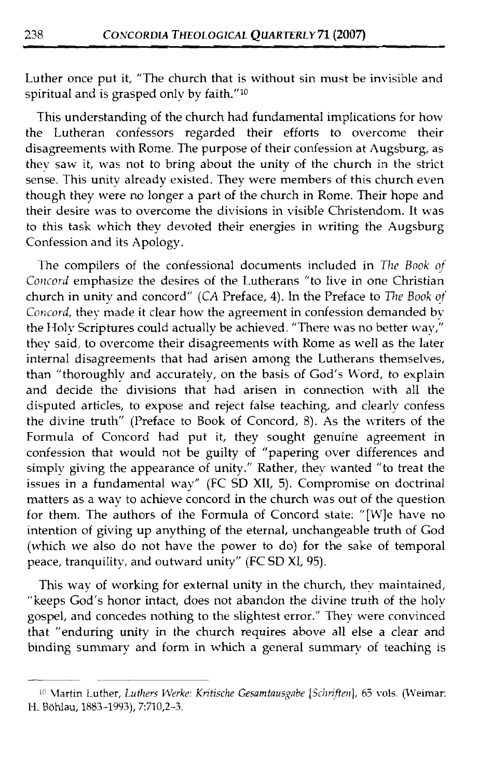Luther once put it, "The church that is without sin must be invisible and spiritual and is grasped only by faith." $10$ 

This understanding of the church had fundamental implications for how the Lutheran confessors regarded their efforts to overcome their disagreements with Rome. The purpose of their confession at hugsburg, as thev saw it, was not to bring about the unity of the church in the strict sense. This unity already existed. They were members of this church even though they were no longer a part of the church in Rome. Their hope and their desire was to overcome the divisions in visible Christendom. It was to this task which they devoted their energies in writing the Augsburg Confession and its Apology.

The compilers of the confessional documents included in *771c Book of Concord* emphasize the desires of the Lutherans "to live in one Christian church in unity and concord" (CA Preface, 4). In the Preface to *771e Book of*  Concord, they made it clear how the agreement in confession demanded by the Holy scriptures could actually be achieved. "There was no better way," they said, to overcome their disagreements with Kome as well as the later internal disagreements that had arisen among the Lutherans themselves, than "thoroughly and accurately, on the basis of God's Word, to explain and decide the divisions that had arisen in connection with all the disputed articles, to expose and reject false teaching, and clearly confess the divine truth" (Preface to Book of Concord, 8). As the writers of the Formula of Concord had put it, they sought genuine agreement in confession that would not be guilty of "papering over differences and simply giving the appearance of unity." Rather, they wanted "to treat the issues in a fundamental way" (FC SD XII, 5). Compromise on doctrinal matters as a way to achieve concord in the church was out of the question for them. The authors of the Formula of Concord state: "[Wle have no intention of giving up anything of the eternal, unchangeable truth of God (which we also do not have the power to do) for the sake of temporal peace, tranquility, and outward unity" (FC SD XI, 95).

This way of working for external unity in the church, thev maintained, "keeps God's honor intact, does not abandon the divine truth of the holy gospel, and concedes nothing to the slightest error." They were convinced that "enduring unity in the church requires above all else a clear and binding summary and form in which a general summary of teaching is --

<sup>&</sup>lt;sup>10</sup> Martin Luther, Luthers Werke: Kritische Gesamtausgabe [Schriften], 65 vols. (Weimar: H. Bohlau, 1883-1993), 7:710,2-3.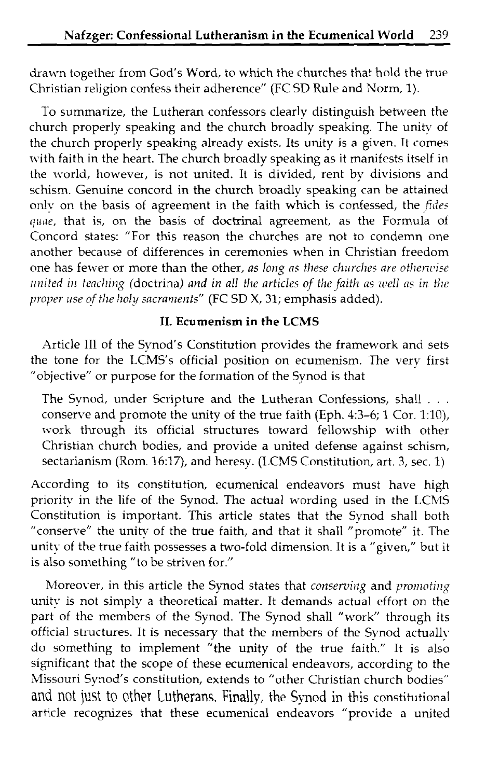drawn together from God's Word, to which the churches that hold the true Christian religion confess their adherence" (FC SD Rule and Norm, 1).

To summarize, the Lutheran confessors clearly distinguish between the church properly speaking and the church broadly speaking. The unity of the church properly speaking already exists. Its unity is a given. It comes with faith in the heart. The church broadly speaking as it manifests itself in the world, however, is not united. It is divided, rent by divisions and schism. Genuine concord in the church broadly speaking can be attained onlv on the basis of agreement in the faith which is confessed, the *fiile;*  quae, that is, on the basis of doctrinal agreement, as the Formula of Concord states: "For this reason the churches are not to condemn one another because of differences in ceremonies when in Christian freedom one has fewer or more than the other, as long as these churches are otherwise *united in teaching (doctrina) and in all the articles of the faith as well as in the proper use of the holy sacraments"* (FC SD X, 31; emphasis added).

#### **11. Ecumenism in the LCMS**

Article 111 of the Synod's Constitution provides the framework and sets the tone for the LCMS's official position on ecumenism. The verv first "objective" or purpose for the formation of the Synod is that

The Synod, under Scripture and the Lutheran Confessions, shall . . . conserve and promote the unity of the true faith (Eph. 4:3-6; 1 Cor. 1:10), work through its official structures toward fellowship with other Christian church bodies, and provide a united defense against schism, sectarianism (Rom. 16:17), and heresy. (LCMS Constitution, art. 3, sec. 1)

According to its constitution, ecumenical endeavors must have high priority in the life of the Synod. The actual wording used in the LCMS Constitution is important. This article states that the Synod shall both "conserve" the unitv of the true faith, and that it shall "promote" it. The unity of the true faith possesses a two-fold dimension. It is a "given," but it is also something "to be striven for."

htoreover, in this article the Synod states that *conserving* and *promoting* unity is not simply a theoretical matter. It demands actual effort on the part of the members of the Synod. The Synod shall "work" through its official structures. It is necessary that the members of the Synod actually do something to implement "the unity of the true faith." It is also significant that the scope of these ecumenical endeavors, according to the Missouri Synod's constitution, extends to "other Christian church bodies" and not just to other Lutherans. Finally, the Synod in this constitutional article recogruzes that these ecumenical endeavors "provide a united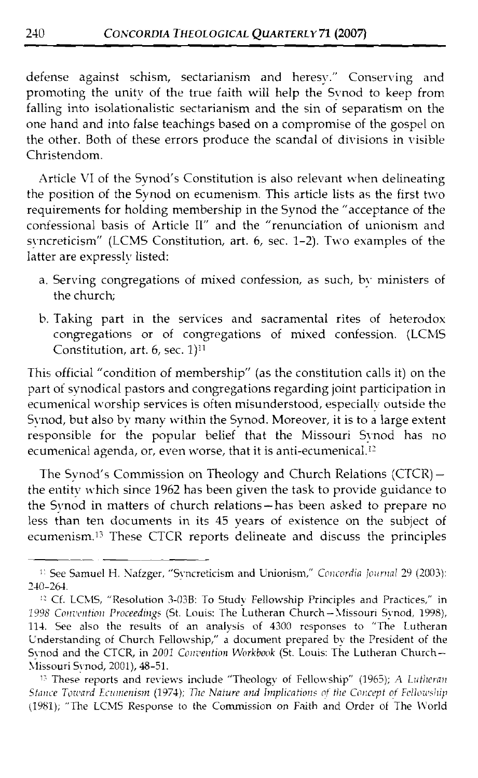defense against schism, sectarianism and heresy." Conserving and promoting the unity of the true faith will help the Synod to keep from falling into isolationalistic sectarianism and the sin of separatism on the one hand and into false teachings based on a compromise of the gospel on the other. Both of these errors produce the scandal of divisions in visible Christendom.

Article VI of the Synod's Constitution is also relevant when delineating the position of the Synod on ecumenism. This article lists as the first two requirements for holding membership in the Synod the "acceptance of the confessional basis of Article 11" and the "renunciation of unionism and syncreticism" (LCMS Constitution, art. 6, sec. 1-2). Two examples of the latter are expressly listed:

- a. Serving congregations of mixed confession, as such, by ministers of the church;
- b. Taking part in the services and sacramental rites of heterodox congregations or of congregations of mixed confession. (LCMS Constitution, art.  $6$ , sec.  $1$ <sup>11</sup>

This official "condition of membership" (as the constitution calls it) on the part of synodical pastors and congregations regarding joint participation in ecumenical worship services is often misunderstood, especially outside the Synod, but also by many within the Synod. Moreover, it is to a large extent responsible for the popular belief that the Missouri Synod has no ecumenical agenda, or, even worse, that it is anti-ecumenical.12

The Synod's Commission on Theology and Church Relations (CTCR) the entity which since 1962 has been given the task to provide guidance to the Synod in matters of church relations- has been asked to prepare no less than ten documents in its 45 years of existence on the subject of ecumenism.<sup>13</sup> These CTCR reports delineate and discuss the principles ecumenical agenda, or, even<br>The Synod's Commission<br>the entity which since 1962 l<br>the Synod in matters of chu<br>less than ten documents ir<br>ecumenism.<sup>13</sup> These CTCR<br>and the Synon H. Nafzger, "Synon 264

<sup>&</sup>lt;sup>11</sup> See Samuel H. Nafzger, "Syncreticism and Unionism," *Concordia Journal* 29 (2003): 240-264.

<sup>&</sup>lt;sup>12</sup> Cf. LCMS, "Resolution 3-03B: To Study Fellowship Principles and Practices," in 1998 Convention Proceedings (St. Louis: The Lutheran Church-Missouri Synod, 1998), 114. See also the results of an analysis of 4300 responses to "The Lutheran Understanding of Church Fellowship," a document prepared by the President of the Synod and the CTCR, in 2001 Convention Workbook (St. Louis: The Lutheran Church-Xlissouri Synod, 2001), 48-51.

<sup>&</sup>lt;sup>15</sup> These reports and reviews include "Theology of Fellowship" (1965); A *Lutheran Stance Toward Ecumenism (1974); The Nature and Implications of the Concept of Fellowship* (1981); "The LCMS Response to the Commission on Faith and Order of The World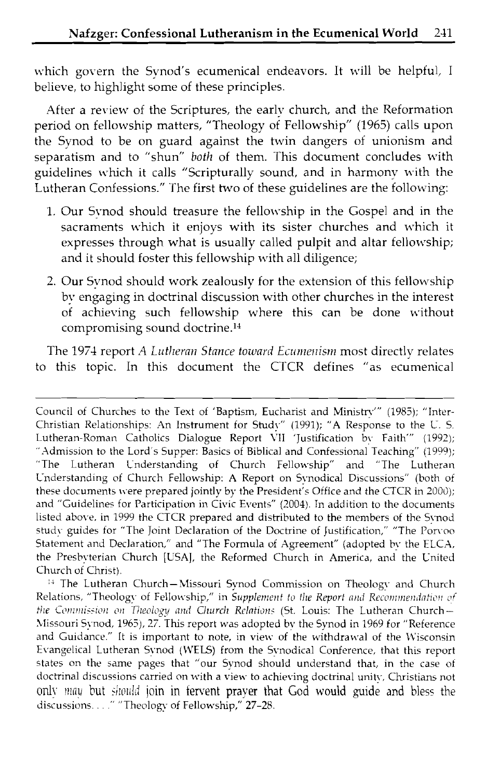which govern the Synod's ecumenical endeavors. It will be helpful, I believe, to highlight some of these principles.

After a review of the Scriptures, the early church, and the Reformation period on fellowship matters, "Theology of Fellowship" (1965) calls upon the Synod to be on guard against the twin dangers of unionism and separatism and to "shun" *both* of them. This document concludes with guidelines which it calls "Scripturally sound, and in harmony with the Lutheran Confessions." The first two of these guidelines are the following:

- 1. Our Synod should treasure the fellowship in the Gospel and in the sacraments which it enjoys with its sister churches and which it expresses through what is usually called pulpit and altar fellowship; and it should foster this fellowship with all diligence;
- 2. Our Synod should work zealously for the extension of this fellowship by engaging in doctrinal discussion with other churches in the interest of achieving such fellowship where this can be done without compromising sound doctrine.14

The 1974 report A Lutheran Stance toward Ecumenism most directly relates to this topic. In this document the CTCR defines "as ecumenical

Council of Churches to the Text of 'Baptism, Eucharist and Ministry'" (1985); "Inter-Christian Relationships: An Instrument for Study" (1991); "A Response to the U. S. Lutheran-Roman Catholics Dialogue Report VII 'Justification by Faith"' (1992); ".Admission to the Lord's Supper: Basics of Biblical and Confessional Teaching" (1999); "The Lutheran Understanding of Church Fellow-shp" and "The Lutheran Understanding of Church Fellowship: A Report on Synodical Discussions" (both of these documents were prepared jointly by the President's Office and the CTCR in 2000); and "Guidelines for Participation in Civic Events" (2004). In addition to the documents listed above, in 1999 the CTCR prepared and distributed to the members of the Synod study guides for "The Joint Declaration of the Doctrine of Justification," "The Porvoo Statement and Declaration," and "The Formula of Agreement" (adopted by the ELCA, the Presbyterian Church [USA], the Reformed Church in America, and the United Church of Christ).

<sup>&</sup>lt;sup>14</sup> The Lutheran Church-Missouri Synod Commission on Theology and Church Relations, "Theology of Fellowship," in Supplement to the Report and Recommendation of *the Commission on Theology and Clurch Relations (St. Louis: The Lutheran Church-*Missouri Synod, 1965), 27. This report was adopted by the Synod in 1969 for "Reference and Guidance." It is important to note, in view of the withdrawal of the Wisconsin Evangelical Lutheran Synod (WELS) from the Synodical Conference, that this report states on the same pages that "our Synod should understand that, in the case of doctrinal discussions carried on with a view to achieving doctrinal unity, Christians not only may but should join in fervent prayer that God would guide and bless the discussions. . . . " "Theology of Fellowship,"  $27-28$ .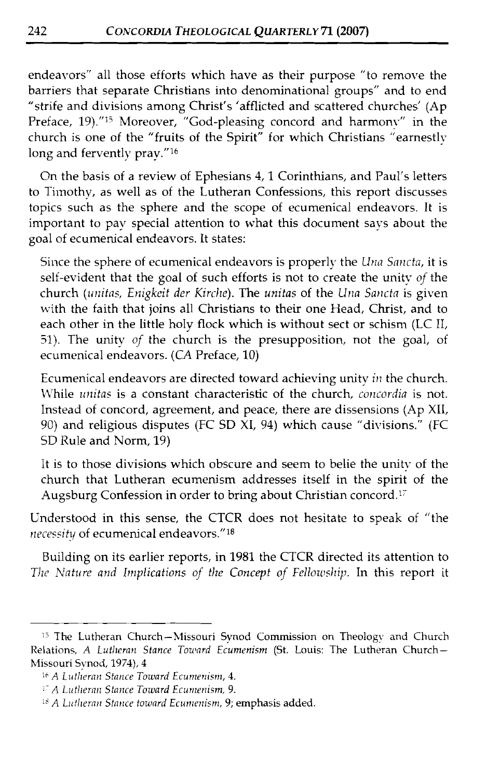endeavors" all those efforts which have as their purpose "to remove the barriers that separate Christians into denominational groups" and to end "strife and divisions among Christ's 'afflicted and scattered churches' (Ap Preface, 19)."<sup>15</sup> Moreover, "God-pleasing concord and harmony" in the church is one of the "fruits of the Spirit" for which Christians "earnestly long and fervently pray."<sup>16</sup>

On the basis of a review of Ephesians 4, 1 Corinthians, and Paul's letters to Timothy, as well as of the Lutheran Confessions, this report discusses topics such as the sphere and the scope of ecumenical endeavors. It is important to pay special attention to what this document says about the goal of ecumenical endeavors. It states:

Since the sphere of ecumenical endeavors is properly the *Llna Snncto,* it is self-evident that the goal of such efforts is not to create the unity *of* the church *(unitas, Enigkeit der Kirche)*. The *unitas* of the *Una Sancta* is given with the faith that joins all Christians to their one Head, Christ, and to each other in the little holy flock which is without sect or schism (LC 11, 51). The unity *of* the church is the presupposition, not the goal, of ecumenical endeavors. *(CA* Preface, 10)

Ecumenical endeavors are directed toward achieving unity *in* the church. \Vhile *linitas* is a constant characteristic of the church, *concodia* is not. Instead of concord, agreement, and peace, there are dissensions (Ap XII, 90) and religious disputes (FC SD  $\overline{X}I$ , 94) which cause "divisions." (FC SD Rule and Norm, 19)

It is to those divisions which obscure and seem to belie the unity of the church that Lutheran ecumenism addresses itself in the spirit of the Augsburg Confession in order to bring about Christian concord.<sup>17</sup>

Understood in this sense, the CTCR does not hesitate to speak of "the *necessity* of ecumenical endeavors."<sup>18</sup>

Building on its earlier reports, in 1981 the CTCR directed its attention to The Nature and Implications of the Concept of Fellowship. In this report it

<sup>&</sup>lt;sup>15</sup> The Lutheran Church-Missouri Synod Commission on Theology and Church Relations, A Lutheran Stance Toward Ecumenism (St. Louis: The Lutheran Church-Missouri Synod, 1974), 4

<sup>&</sup>lt;sup>16</sup> A Lutheran Stance Toward Ecumenism, 4.

<sup>&</sup>lt;sup>17</sup> A Lutheran Stance Toward Ecumenism, 9.

<sup>&</sup>lt;sup>18</sup> A Lutheran Stance toward Ecumenism, 9; emphasis added.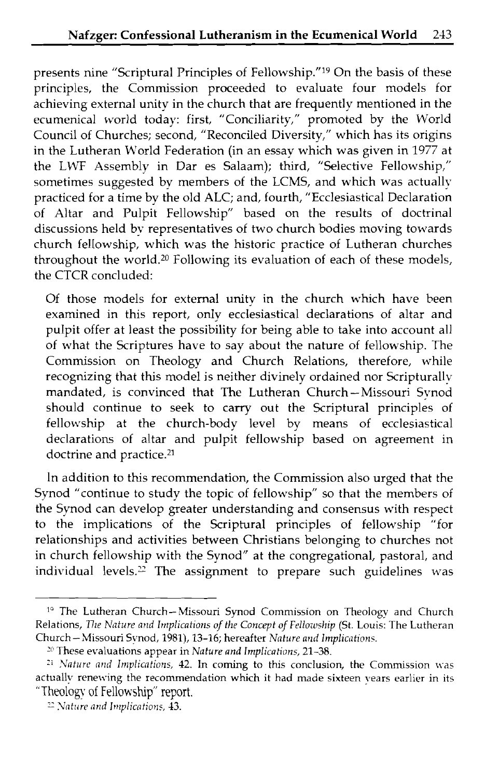presents nine "Scriptural Principles of Fellowship."<sup>19</sup> On the basis of these principles, the Commission proceeded to evaluate four models for achieving external unity in the church that are frequently mentioned in the ecumenical world today: first, "Conciliarity," promoted by the World Council of Churches; second, "Reconciled Diversity," which has its origins in the Lutheran World Federation (in an essay which was given in 1977 at the LWF Assembly in Dar es Salaam); third, "Selective Fellowship," sometimes suggested by members of the LCMS, and which was actually practiced for a time by the old ALC; and, fourth, "Ecclesiastical Declaration of Altar and Pulpit Fellowship" based on the results of doctrinal discussions held by representatives of two church bodies moving towards church fellowship, which was the historic practice of Lutheran churches throughout the world.<sup>20</sup> Following its evaluation of each of these models, the CTCR concluded:

Of those models for external unity in the church which have been examined in this report, only ecclesiastical declarations of altar and pulpit offer at least the possibility for being able to take into account all of what the Scriptures have to say about the nature of fellowship. The Commission on Theology and Church Relations, therefore, while recognizing that this model is neither divinely ordained nor Scripturallv mandated, is convinced that The Lutheran Church-Missouri Synod should continue to seek to carry out the Scriptural principles of fellowship at the church-body level by means of ecclesiastical declarations of altar and pulpit fellowship based on agreement in doctrine and practice.<sup>21</sup>

In addition to this recommendation, the Commission also urged that the Synod "continue to study the topic of fellowship" so that the members of the Synod can develop greater understanding and consensus with respect to the implications of the Scriptural principles of fellowship "for relationships and activities between Christians belonging to churches not in church fellowship with the Synod" at the congregational, pastoral, and individual levels.<sup>2</sup> The assignment to prepare such guidelines was

<sup>&</sup>lt;sup>10</sup> The Lutheran Church-Missouri Synod Commission on Theology and Church Relations, *The Nature and Implications of the Concept of Fellowship (St. Louis: The Lutheran* Church-Missouri Synod, 1981), 13-16; hereafter *Nntilre nrld Implications.* 

<sup>&</sup>lt;sup>20</sup> These evaluations appear in *Nature and Implications,* 21-38.

<sup>&</sup>lt;sup>21</sup> *Nature and Implications,* **42**. In coming to this conclusion, the Commission was actually renewing the recommendation which it had made sixteen years earlier in its "Theology of Fellowship" report.  $\frac{25}{100}$  *Nat* actually renewing the recommendation which it had made sixteen years earlier in its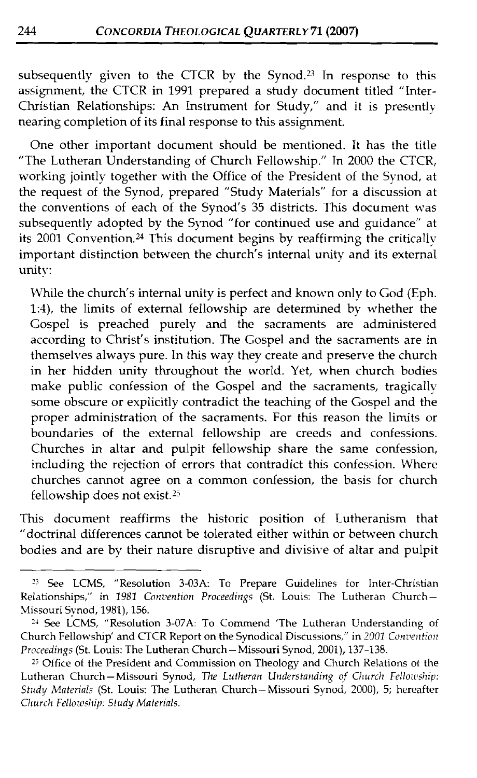subsequently given to the CTCR by the Synod.23 In response to this assignment, the CTCR in 1991 prepared a study document titled "Inter-Christian Relationships: An Instrument for Study," and it is presently nearing completion of its final response to this assignment.

One other important document should be mentioned. It has the title "The Lutheran Understanding of Church Fellowshp." In 2000 the CTCR, working jointly together with the Office of the President of the Synod, at the request of the Synod, prepared "Study Materials" for a discussion at the conventions of each of the Synod's  $35$  districts. This document was subsequently adopted by the Synod "for continued use and guidance" at its  $2001$  Convention.<sup>24</sup> This document begins by reaffirming the critically important distinction between the church's internal unity and its external unity:

Whle the church's internal unity is perfect and known only to God (Eph. 1:4), the limits of extemal fellowship are determined by whether the Gospel is preached purely and the sacraments are administered according to Christ's institution. The Gospel and the sacraments are in themselves always pure. In this way they create and preserve the church in her hidden unity throughout the world. Yet, when church bodies make public confession of the Gospel and the sacraments, tragically some obscure or explicitly contradict the teaching of the Gospel and the proper administration of the sacraments. For this reason the limits or boundaries of the external fellowship are creeds and confessions. Churches in altar and pulpit fellowship share the same confession, including the rejection of errors that contradict this confession. Where churches cannot agree on a common confession, the basis for church fellowship does not exist.<sup>25</sup>

This document reaffirms the historic position of Lutheranism that "doctrinal differences cannot be tolerated either withn or between church bodies and are by their nature disruptive and divisive of altar and pulpit

<sup>3</sup> See LCMS, "Resolution 3-03A: To Prepare Guidelines for Inter-Christian Relationships," in 1981 Convention Proceedings (St. Louis: The Lutheran Church-Missouri Synod, 1981), 156.

<sup>14</sup>*See* LCMS, "Resolution 3-07A: To Commend 'The Lutheran Understanding of Church Fellowship' and CTCR Report on the Synodical Discussions," in 2001 Convention<br>Proceedings (St. Louis: The Lutheran Church – Missouri Synod, 2001), 137-138.

<sup>&</sup>lt;sup>25</sup> Office of the President and Commission on Theology and Church Relations of the Lutheran Church-Missouri Synod, *The Lutheran Understanding of Church Fellowship: Study hlaterials* (St. Louis: The Lutheran Church-Missouri Synod, 2000), 5; hereafter *Clurch Fellowship: Study Materials.*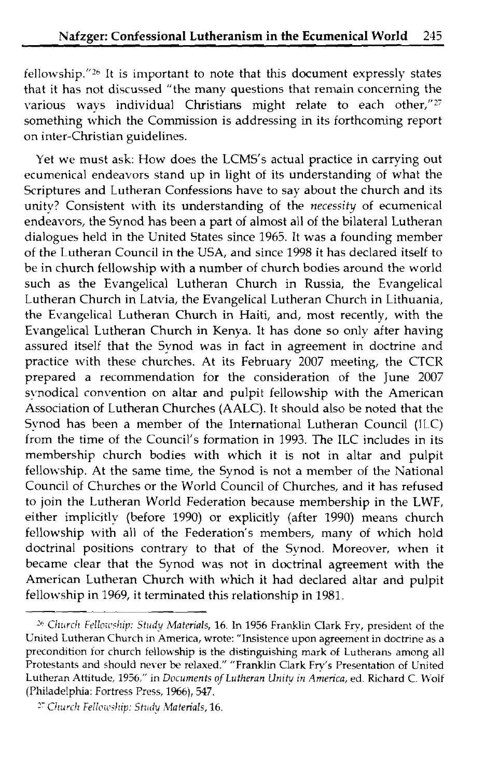$f$ ellowship."<sup>26</sup> It is important to note that this document expressly states that it has not discussed "the many questions that remain concerning the various ways individual Christians might relate to each other,"27 something which the Commission is addressing in its forthcoming report on inter-Christian guidelines.

Yet we must ask: How does the LCMS's actual practice in carrying out ecumenical endeavors stand up in light of its understanding of what the Scriptures and Lutheran Confessions have to say about the church and its unity? Consistent with its understanding of the necessity of ecumenical endeavors, the Synod has been a part of almost all of the bilateral Lutheran dialogues held in the United States since 1965. It was a founding member of the Lutheran Council in the USA, and since 1998 it has declared itself to be in church fellowship with a number of church bodies around the world such as the Evangelical Lutheran Church in Russia, the Evangelical Lutheran Church in Latvia, the Evangelical Lutheran Church in Lithuania, the Evangelical Lutheran Church in Haiti, and, most recently, with the Evangelical Lutheran Church in Kenya. It has done so only after having assured itself that the Synod was in fact in agreement in doctrine and practice with these churches. At its February 2007 meeting, the CTCR prepared a recommendation for the consideration of the June 2007 synodical convention on altar and pulpit fellowship with the American Association of Lutheran Churches (AALC). It should also be noted that the Synod has been a member of the International Lutheran Council (JLC) from the time of the Council's formation in 1993. The ILC includes in its membership church bodies with which it is not in altar and pulpit fellowship. At the same time, the Synod is not a member of the National Council of Churches or the World Council of Churches, and it has refused to join the Lutheran World Federation because membership in the LWF, either implicitly (before 1990) or explicitly (after 1990) means church fellowship with all of the Federation's members, many of which hold doctrinal positions contrary to that of the Synod. Moreover, when it became clear that the Synod was not in doctrinal agreement with the American Lutheran Church with which it had declared altar and pulpit fellowship in 1969, it terminated this relationship in 1981.

<sup>&</sup>lt;sup>26</sup> Church Fellowship: Study Materials, 16. In 1956 Franklin Clark Fry, president of the Gnited Lutheran Church in America, wrote: "Insistence upon agreement in doctrine as a precondition for church fellowship is the distinguishing mark of Lutherans among all Protestants and should never be relaxed." "Franklin Clark Fry's Presentation of United Lutheran Attitude, 1956," in *Documents ofLutheran Unity in America,* ed. Richard *C.* M'oif (Philadelphia: Fortress Press, 1966), 547.

<sup>&</sup>lt;sup>27</sup> Church Fellowship: Study Materials, 16.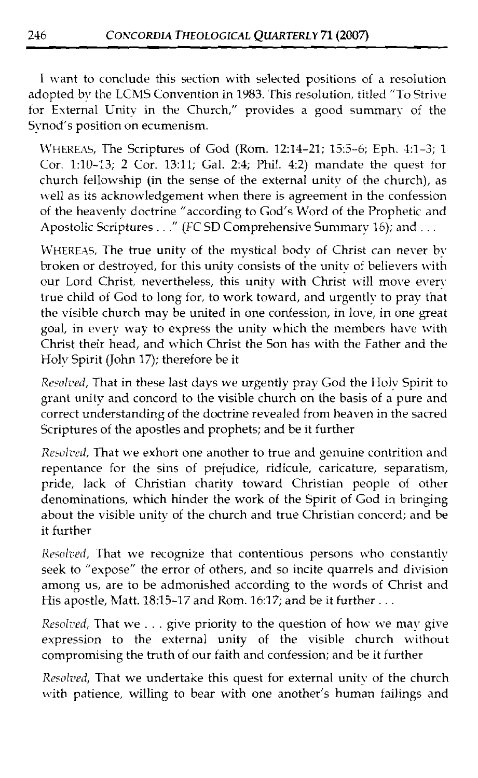I want to conclude this section with selected positions of a resolution adopted by the LCMS Convention in 1983. This resolution, titled "To Strive for External Unity in the Church," provides a good summary of the Synod's position on ecumenism.

\VHEREXS, The Scriptures of God (Rom. 12:14-21; 13:5-6; Eph. 1:l-3; 1 Cor. 1:lO-13; 2 Cor. 13:11; Gal. 2:4; Phil. 4:2) mandate the quest for church fellowship (in the sense of the external unity of the church), as well as its acknowledgement when there is agreement in the confession of the heavenly doctrine "according to God's Word of the Prophetic and Apostolic Scriptures . . ." (FC SD Comprehensive Summary 16); and . . .

WHEREAS, The true unity of the mystical body of Christ can never by broken or destroyed, for this unity consists of the unity of believers with our Lord Christ, nevertheless, this unity with Christ will move every true child of God to long for, to work toward, and urgently to pray that the visible church may be united in one confession, in love, in one great goal, in every way to express the unity which the members have with Christ their head, and which Christ the Son has with the Father and the Holy Spirit (John 17); therefore be it

*Resali~ed,* That in these last days we urgently pray God the Holy Spirit to grant unity and concord to the visible church on the basis of a pure and correct understanding of the doctrine revealed from heaven in the sacred Scriptures of the apostles and prophets; and be it further

*Resolved*, That we exhort one another to true and genuine contrition and repentance for the sins of prejudice, ridicule, caricature, separatism, pride, lack of Christian charity toward Christian people of other denominations, which hinder the work of the Spirit of God in bringing about the visible unity of the church and true Christian concord; and be it further

Resolved, That we recognize that contentious persons who constantly seek to "expose" the error of others, and so incite quarrels and division among us, are to be admonished according to the words of Christ and His apostle, Matt. 18:15-17 and Rom. 16:17; and be it further  $\dots$ 

*Resolved, That we . . . give priority to the question of how we mav give* expression to the external unity of the visible church without compromising the truth of our faith and confession; and be it further

*Resolved*, That we undertake this quest for external unity of the church with patience, willing to bear with one another's human failings and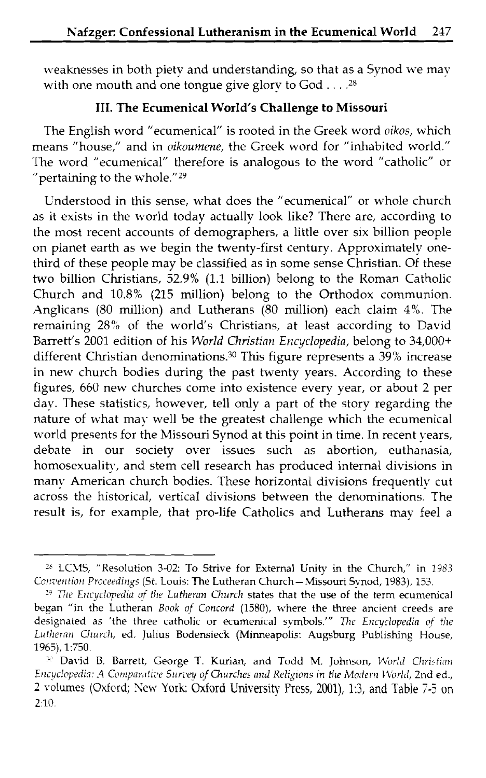weaknesses in both piety and understanding, so that as a Synod we may with one mouth and one tongue give glory to God . . . .<sup>28</sup>

#### **111. The Ecumenical World's Challenge to Missouri**

The English word "ecumenical" is rooted in the Greek word *oikos,* which means "house," and in *oikoumene,* the Greek word for "inhabited world." The word "ecumenical" therefore is analogous to the word "catholic" or "pertaining to the whole."29

Understood in this sense, what does the "ecumenical" or whole church as it exists in the world today actually look like? There are, according to the most recent accounts of demographers, a little over six billion people on planet earth as we begin the twenty-first century. Approximately onethird of these people may be classified as in some sense Christian. Of these two billion Christians, 52.9% (1.1 billion) belong to the Roman Catholic Church and  $10.8\%$  (215 million) belong to the Orthodox communion. Anglicans *(80* million) and Lutherans *(80* million) each claim *4'6.* The remaining 28% of the world's Christians, at least according to David Barrett's *2001* edition of his World *Christian Encyclopedia,* belong to *34,000+*  different Christian denominations.30 This figure represents a 39% increase in new church bodies during the past twenty years. According to these figures, *660* new churches come into existence every year, or about 2 per day. These statistics, however, tell only a part of the story regarding the nature of what may well be the greatest challenge which the ecumenical world presents for the Missouri Synod at this point in time. In recent years, debate in our society over issues such as abortion, euthanasia, homosexuality, and stem cell research has produced internal divisions in many American church bodies. These horizontal divisions frequently cut across the historical, vertical divisions between the denominations. The result is, for example, that pro-life Catholics and Lutherans may feel a

<sup>&</sup>lt;sup>28</sup> LCMS, "Resolution 3-02: To Strive for External Unity in the Church," in 1983 *Corr;te~ltio?l Procet\*dir~gs* (St. Louis: The Lutheran Church-Missouri Synod, 1983), 153.

<sup>&</sup>lt;sup>29</sup> *The Encyclopedia of the Lutheran Church states that the use of the term ecumenical* began "in the Lutheran *Book of Concord* (1580), where the three ancient creeds are designated as 'the three catholic or ecumenical symbols.'" *Ute Errcyclopedin* of *the Lutheran Church, ed. Julius Bodensieck (Minneapolis: Augsburg Publishing House,* 1965), 1:750.

<sup>&</sup>lt;sup>30</sup> David B. Barrett, George T. Kurian, and Todd M. Johnson, *World Christian Encyclopedia: A Comparative Survey of Churches and Religions in the Modern World, 2nd ed., 2* ~olurnes (Oxford; **Sew** York: **Oxford** University Press, 2001), 1:3, and Table *7-3* on 2:lO.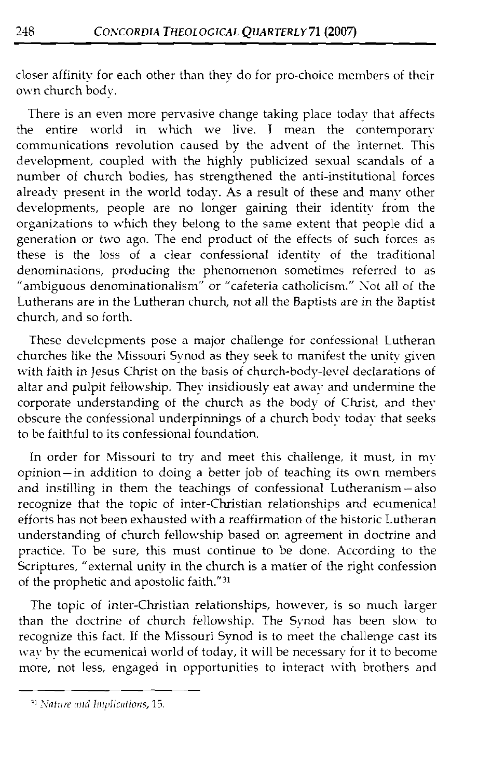closer affinity for each other than they do for pro-choice members of their own church body.

There is an even more pervasive change taking place today that affects the entire world in which we live. I mean the contemporary communications revolution caused by the advent of the Internet. This development, coupled with the highly publicized sexual scandals of a number of church bodies, has strengthened the anti-institutional forces already present in the world today. As a result of these and many other developments, people are no longer gaining their identity from the organizations to which they belong to the same extent that people did a generation or two ago. The end product of the effects of such forces as these is the loss of a clear confessional identity of the traditional denominations, producing the phenomenon sometimes referred to as "ambiguous denominationalism" or "cafeteria catholicism." Kot all of the Lutherans are in the Lutheran church, not all the Baptists are in the Baptist church, and so forth.

These developments pose a major challenge for confessional Lutheran churches like the Missouri Synod as they seek to manifest the unity given unitative that the christ of content the pass of church-body-level declarations of altar and pulpit fellowship. They insidiously eat away and undermine the corporate understanding of the church as the body of Christ, and they obscure the confessional underpinnings of a church body today that seeks to be faithful to its confessional foundation.

In order for Missouri to try and meet this challenge, it must, in my opinion-in addition to doing a better job of teaching its own members and instilling in them the teachings of confessional Lutheranism-also recognize that the topic of inter-Christian relationships and ecumenical efforts has not been exhausted with a reaffirmation of the historic Lutheran understanding of church fellowship based on agreement in doctrine and practice. To be sure, this must continue to be done. According to the Scriptures, "external unity in the church is a matter of the right confession of the prophetic and apostolic faith."31

The topic of inter-Christian relationships, however, is so much larger than the doctrine of church fellowship. The Synod has been slow to recognize this fact. If the Missouri Synod is to meet the challenge cast its The ecumenical world of today, it will be necessary for it to become more, not less, engaged in opportunities to interact with brothers and

<sup>&</sup>lt;sup>31</sup> Nature and Implications, 15.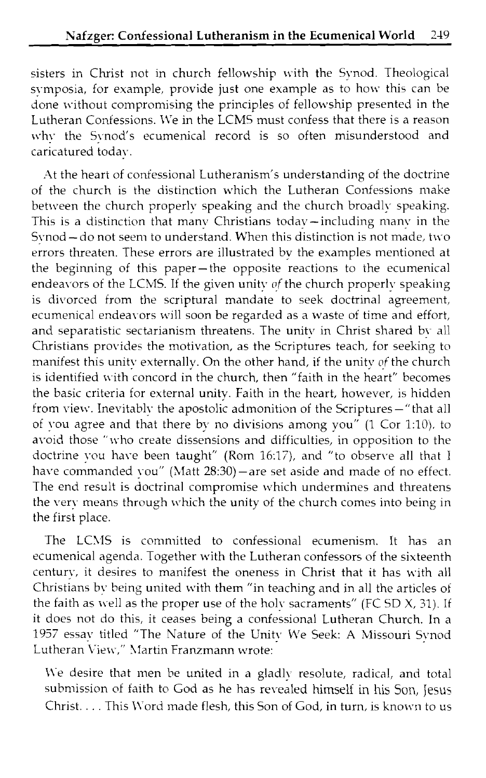sisters in Christ not in church fellowship with the Synod. Theological symposia, for example, provide just one example as to how this can be done without compromising the principles of fellowship presented in the Lutheran Confessions. We in the LCMS must confess that there is a reason why the Synod's ecumenical record is so often misunderstood and caricatured today.

At the heart of coniessional Lutheranism's understanding of the doctrine of the church is the distinction \vhich the Lutheran Confessions make between the church properly speaking and the church broadly speaking. This is a distinction that many Christians todav-including many in the Synod  $-$  do not seem to understand. When this distinction is not made, two errors threaten. These errors are illustrated by the examples mentioned at the beginning of this paper-the opposite reactions to the ecumenical endeavors of the LCMS. If the given unity of the church properly speaking is divorced from the scriptural mandate to seek doctrinal agreement, ecumenical endeavors will soon be regarded as a waste of time and effort, and separatistic sectarianism threatens. The unity in Christ shared by all Christians provides the motivation, as the Scriptures teach, for seeking to manifest this unity externally. On the other hand, if the unity of the church is identified with concord in the church, then "faith in the heart" becomes the basic criteria for external unity. Faith in the heart, however, is hidden from view. Inevitably the apostolic admonition of the Scriptures-" that all of vou agree and that there by no divisions among you" (1 Cor 1:10), to avoid those "who create dissensions and difficulties, in opposition to the doctrine you have been taught" (Rom 16:17), and "to observe all that I have commanded  $\text{vou}''$  (Matt 28:30) — are set aside and made of no effect. The end result is doctrinal compromise which undermines and threatens the very means through which the unity of the church comes into being in the first place.

The LCMS is committed to confessional ecumenism. It has an ecumenical agenda. Together with the Lutheran confessors of the sixteenth century, it desires to manifest the oneness in Christ that it has with all Christians bv being united with them "in teaching and in all the articles of the faith as well as the proper use of the holv sacraments" (FC SD X, 31). If it does not do this, it ceases being a confessional Lutheran Church. In a 1957 essav titled "The Nature of the Unitv We Seek: **A** hIissouri Svnod Lutheran View," Martin Franzmann wrote:

We desire that men be united in a gladly resolute, radical, and total submission of faith to God as he has revealed himself in his Son, Jesus Christ. . . . This Word made flesh, this Son of God, in turn, is known to us